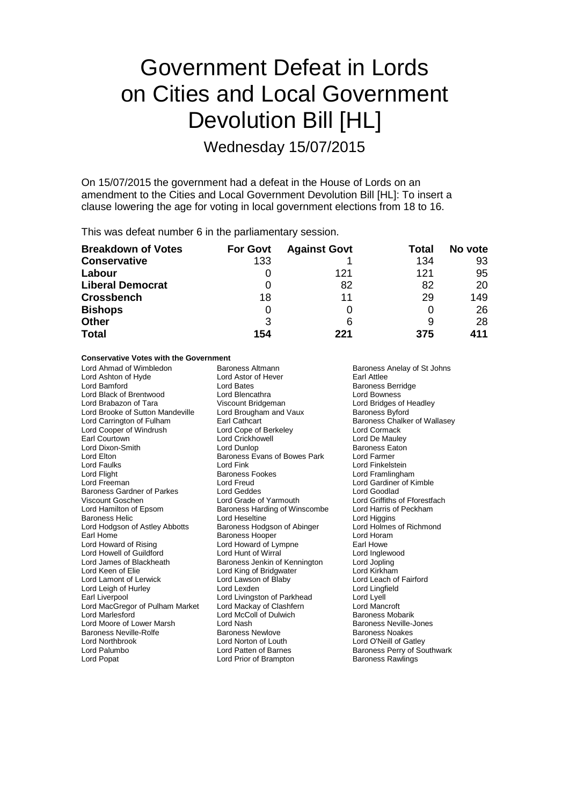# Government Defeat in Lords on Cities and Local Government Devolution Bill [HL]

Wednesday 15/07/2015

On 15/07/2015 the government had a defeat in the House of Lords on an amendment to the Cities and Local Government Devolution Bill [HL]: To insert a clause lowering the age for voting in local government elections from 18 to 16.

This was defeat number 6 in the parliamentary session.

| <b>Breakdown of Votes</b> | <b>For Govt</b> | <b>Against Govt</b> | Total | No vote |
|---------------------------|-----------------|---------------------|-------|---------|
| <b>Conservative</b>       | 133             |                     | 134   | 93      |
| Labour                    |                 | 121                 | 121   | 95      |
| <b>Liberal Democrat</b>   |                 | 82                  | 82    | 20      |
| <b>Crossbench</b>         | 18              | 11                  | 29    | 149     |
| <b>Bishops</b>            | 0               |                     |       | 26      |
| <b>Other</b>              | 3               |                     |       | 28      |
| <b>Total</b>              | 154             | 221                 | 375   | 411     |

## **Conservative Votes with the Government**

Lord Ahmad of Wimbledon **Baroness Altmann** Baroness Anelay of St Johns<br> **Baroness Anelay of St Johns**<br>
Lord Ashton of How Baroness Alter Baroness Anelay of St Johns Lord Ashton of Hyde Lord Astor<br>Lord Bamford Lord Bates Lord Bamford **Constanting Lord Bates** Lord Bates **Baroness Berridge**<br>
Lord Black of Brentwood **Lord Blencathra Constanting Lord Bowness** Lord Black of Brentwood Lord Blencathra Lord Bowness Lord Brooke of Sutton Mandeville Lord Carrington of Fulham Earl Cathcart Baroness Chalker of Wallasey<br>
Lord Cooper of Windrush Lord Cope of Berkeley Lord Cormack Lord Cooper of Windrush Lord Cope of Berkeley<br>
Lord Courtown Lord Crickhowell Lord Crickhowell<br>
Lord Crickhowell Lord Crickhowell Earl Courtown **Lord Crickhowell**<br>
Lord Dixon-Smith **Lord Dunlop** Lord Dixon-Smith Lord Dunlop Baroness Eaton Lord Elton Baroness Evans of Bowes Park<br>
Lord Faulks<br>
Lord Fink Lord Faulks Lord Fink Lord Finkelstein Lord Freeman Lord Freud Lord Gardiner of Kimble Baroness Gardner of Parkes Lord Geddes Lord Goodlad<br>
Lord Goschen Lord Grade of Yarmouth Lord Griffiths on Lord Griffiths Viscount Goschen **Lord Grade of Yarmouth** Lord Griffiths of Fforestfach<br>
Lord Hamilton of Epsom **Baroness Harding of Winscombe** Lord Harris of Peckham Baroness Helic<br>
Lord Hodgson of Astley Abbotts
Lord Holmes of Richmond
Lord Holmes of Richmond
Lord Holmes of Richmond
Lord Holmes of Richmond
Lord Holmes of Richmond
Lord Holmes of Richmond
Lord Holmes of Richmond
Lord Ho Lord Hodgson of Astley Abbotts Baroness Hodgson of Abinger Lord Holmes<br>Farl Home Baroness Hooper Lord Horam Earl Home Baroness Hooper<br>
Lord Howard of Rising<br>
Lord Howard of Rising<br>
Lord Howard of Ly Lord Howell of Guildford Lord Hunt of Wirral Cord Hunt of Wirral Lord Inglewo<br>
Lord James of Blackheath Baroness Jenkin of Kennington Lord Jopling Lord James of Blackheath Baroness Jenkin of Kennington Lord Jopling<br>
Lord Keen of Elie Cord King of Bridgwater Lord Kirkham Lord Lamont of Lerwick Lord Leigh of Hurley **Lord Lord Lexden** Lord Livingston of Parkhead Lord Liverpool Lord Liverpool Lord Lyell Lord MacGregor of Pulham Market Lord Mackay of Clashfern Lord Mancroft Lord Moore of Lower Marsh Lord Nash Lord Nash Baroness Neville-<br>
Baroness Neville-Rolfe Baroness Newlove Baroness Naskes Baroness Neville-Rolfe Lord Northbrook **Lord Norton of Louth** Lord Norton Council Cord Cover Lord O'Neill of Gatley<br>
Lord Palumbo **Lord Patten of Barnes** Baroness Perry of So Lord Palumbo **Lord Patten of Barnes** Baroness Perry of Southwark<br>
Lord Popat **Cord Prices** Lord Prior of Brampton Baroness Rawlings

Viscount Bridgeman **Lord Bridges of Headley**<br>
Lord Brougham and Vaux **Baroness Byford** Baroness Harding of Winscombe Lord Harris o<br>
Lord Heseltine Cord Higgins Lord Howard of Lympne Earl Howe<br>
Lord Hunt of Wirral **Earl Howard Lord Inglewood** Lord King of Bridgwater **Lord Kirkham**<br>
Lord Lawson of Blaby **Lord Leach of Fairford** Lord Livingston of Parkhead Lord Lyell<br>
Lord Mackay of Clashfern Lord Mancroft Lord McColl of Dulwich Baroness Mobarik<br>Lord Nash Baroness Neville-Jones Lord Prior of Brampton

Lord Framlingham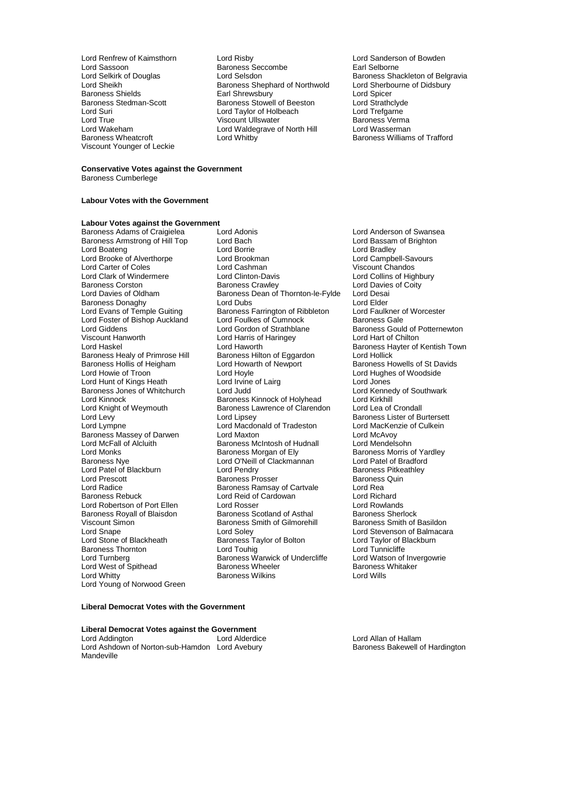Lord Sassoon Baroness Seccombe<br>
Lord Selskirk of Douglas<br>
Lord Selsdon Viscount Younger of Leckie

Lord Renfrew of Kaimsthorn Lord Risby Lord Sanderson of Bowden Baroness Shephard of Northwold Lord Sherbourne Carl Sherbourne of Northwold Lord Sherbourne of Dideshury Baroness Shields **Earl Shrewsbury** Earl Shrewsbury Lord Spicer<br>Baroness Stedman-Scott **Exercise State Baroness Stowell of Beeston** Lord Strathclyde Baroness Stedman-Scott Baroness Stowell of Beeston Lord Strathclyde<br>
Lord Suri Lord Taylor of Holbeach Lord Trefgame Lord Suri Lord Taylor of Holbeach Lord Trefgarne<br>
Lord True Cord Trefgarne<br>
Lord True Ciscount Ullswater Baroness Verma Lord True Communist Communist Communist Viscount Ullswater Communist Communist Communist Communist Communist C<br>Communist Communist Communist Communist Communist Communist Communist Communist Communist Communist Communist<br>C Lord Wakeham Lord Waldegrave of North Hill<br>
Baroness Wheatcroft Lord Whitby<br>
Lord Whitby

Lord Selshirk of Douglas Lord Selsdon<br>
Lord Shankleton of Belgravia<br>
Baroness Shephard of Northwold Lord Sherbourne of Didsbury Baroness Williams of Trafford

## **Conservative Votes against the Government**

Baroness Cumberlege

# **Labour Votes with the Government**

## **Labour Votes against the Government**

Lord Foster of Bishop Auckland Lord Foulkes of Cumnock<br>Lord Giddens Baroness Lord Gordon of Strathblane Viscount Hanworth Lord Harris of Haringey<br>
Lord Haskel Lord Haworth Baroness Hollis of Heigham Lord Howarth Lord Howarth Lord Hoyle Lord Hunt of Kings Heath Lord Irvine<br>Baroness Jones of Whitchurch Lord Judd Lord Knight of Weymouth Baroness Lawrence of Clarendon<br>
Lord Levy<br>
Lord Lipsey Viscount Simon Baroness Smith of Gilmorehill<br>Lord Snape Lord Soley Baroness Thornton **Exercise Server Thornton**<br>
Lord Turnberg **Contains Containers**<br>
Baroness Warwick of Undercliffe Lord Young of Norwood Green

Baroness Adams of Craigielea Lord Adonis<br>Baroness Armstrong of Hill Top Lord Bach Cord Bach Lord Bassam of Brighton Baroness Armstrong of Hill Top Lord Bach Lord Bach Lord Bassam<br>
Lord Boateng Lord Brighton Lord Brighton Lord Bradley Lord Boateng Lord Borrie Lord Bradley Lord Brooke of Alverthorpe Lord Brookman Lord Campbell-Savours Lord Carter of Coles Lord Cashman Viscount Chandos<br>
Lord Clark of Windermere Lord Clinton-Davis Lord Collins of Hig Lord Clark of Windermere **Lord Clinton-Davis** Cord Collins of Highbury<br>
Baroness Corston **Baroness Crawley** Lord Davies of Coity Baroness Corston **Baroness Crawley** Lord Davies of Coity<br>
Lord Davies of Oldham **Baroness Dean of Thornton-le-Fylde** Lord Desai Baroness Dean of Thornton-le-Fylde Lord Desai<br>Lord Dubs I ord Flder Baroness Donaghy **Lord Dubs** Lord Dubs **Lord Elder**<br>
Lord Evans of Temple Guiting Baroness Farrington of Ribbleton Lord Faulkner of Worcester Exaroness Farrington of Ribbleton Lord Faulkner of Ribbleton Lord Faulkner of Cumnock Corp. Lord Giddens **Lord Gordon of Strathblane** Baroness Gould of Potternewton<br>
Lord Hartis of Haringey<br>
Lord Hart of Chilton Lord Haworth **Exercise Lord Hayter of Kentish Town**<br>Baroness Hilton of Eggardon **Baron Lord Hollick** Baroness Healy of Primrose Hill Baroness Hilton of Eggardon Lord Hollick Theorics Howells of St Davids<br>Baroness Hollis of Heigham Lord Howarth of Newport Baroness Howells of St Davids Lord Hoyle<br>
Lord Irvine of Lairg<br>
Lord Jones Baroness Jones of Whitchurch Lord Judd Lord Lord Lord Kennedy of Southwark<br>Lord Kinnock Lord Kenness Kinnock of Holyhead Lord Kirkhill Lord Kinnock<br>
Lord Knight of Weymouth **Baroness Lawrence of Clarendon** Lord Lea of Crondall Lord Levy **Lord Lipsey** Baroness Lister of Burtersett<br>
Lord Lympne Lord Macdonald of Tradeston Lord MacKenzie of Culkein Lord Macdonald of Tradeston Lord MacKen<br>Lord Maxton Lord Maxton Lord MacAvoy Baroness Massey of Darwen Lord Maxton Lord Maxton Lord McAvoy<br>
Lord McFall of Alcluith **Caroness McIntosh of Hudnall** Lord Mendelsohn Lord McFall of Alcluith **Baroness McIntosh of Hudnall** Lord Mendelsohn<br>Lord Monks **Baroness McIntosh** Baroness Morgan of Elv Baroness Morris of Yardlev Lord Monks **Baroness Morgan of Ely** Baroness Morris of Yardley Baroness Nye Lord O'Neill of Clackmannan Lord Patel of Bradford Lord Patel of Blackburn Lord Pendry Baroness Pitkeathley Lord Prescott **Contract Baroness Prosser** Baroness<br>
Lord Radice **Baroness Ramsay of Cartyale** Lord Rea Lord Radice Baroness Ramsay of Cartvale Lord Rea Lord Reid of Cardowan and Lord Richard<br>Lord Rosser Lord Rowlands Lord Robertson of Port Ellen Lord Rosser Lord Rosser Lord Rowlands<br>
Baroness Royall of Blaisdon Baroness Scotland of Asthal Baroness Sherlock Baroness Royall of Blaisdon Baroness Scotland of Asthal Baroness Sherlock<br>Viscount Simon Classildon Baroness Smith of Gilmorehill Baroness Smith of Basildon Lord Snape Lord Soley Lord Soley Lord Stevenson of Balmacara<br>
Lord Stone of Blackheath Baroness Taylor of Bolton Lord Taylor of Blackburn Baroness Taylor of Bolton Lord Taylor of B<br>
Lord Taylor of Bolton Lord Tunnicliffe Baroness Warwick of Undercliffe Lord Watson of Invergowrie<br>Baroness Wheeler Baroness Whitaker Lord West of Spithead Baroness Wheeler Baroness<br>
Lord Whitty **Baroness Willing Baroness Wilkins** Lord Wills **Baroness Wilkins** 

### **Liberal Democrat Votes with the Government**

**Liberal Democrat Votes against the Government** Lord Ashdown of Norton-sub-Hamdon Lord Avebury Mandeville

Lord Allan of Hallam<br>Baroness Bakewell of Hardington